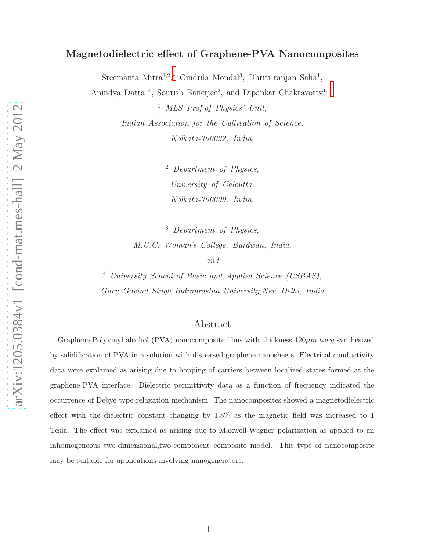# Magnetodielectric effect of Graphene-PVA Nanocomposites

Sreemanta Mitra<sup>1,2</sup>,\* Oindrila Mondal<sup>3</sup>, Dhriti ranjan Saha<sup>1</sup>,

Anindya Datta<sup>4</sup>, Sourish Banerjee<sup>2</sup>, and Dipankar Chakravorty<sup>1,[††](#page-10-1)</sup>

<sup>1</sup> MLS Prof.of Physics' Unit, Indian Association for the Cultivation of Science, Kolkata-700032, India.

> <sup>2</sup> Department of Physics, University of Calcutta, Kolkata-700009, India.

<sup>3</sup> Department of Physics, M.U.C. Woman's College, Burdwan, India. and

<sup>4</sup> University School of Basic and Applied Science (USBAS), Guru Govind Singh Indraprastha University,New Delhi, India

# Abstract

Graphene-Polyvinyl alcohol (PVA) nanocomposite films with thickness  $120 \mu m$  were synthesized by solidification of PVA in a solution with dispersed graphene nanosheets. Electrical conductivity data were explained as arising due to hopping of carriers between localized states formed at the graphene-PVA interface. Dielectric permittivity data as a function of frequency indicated the occurrence of Debye-type relaxation mechanism. The nanocomposites showed a magnetodielectric effect with the dielectric constant changing by 1.8% as the magnetic field was increased to 1 Tesla. The effect was explained as arising due to Maxwell-Wagner polarization as applied to an inhomogeneous two-dimensional,two-component composite model. This type of nanocomposite may be suitable for applications involving nanogenerators.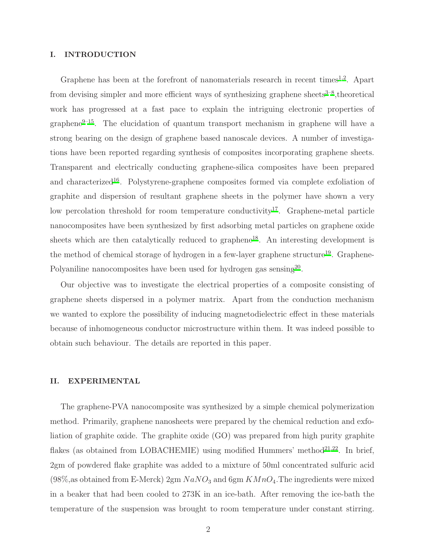# I. INTRODUCTION

Graphene has been at the forefront of nanomaterials research in recent times<sup>[1](#page-10-2)[,2](#page-10-3)</sup>. Apart from devising simpler and more efficient ways of synthesizing graphene sheets $3-8$  $3-8$ , theoretical work has progressed at a fast pace to explain the intriguing electronic properties of graphene $9-15$  $9-15$ . The elucidation of quantum transport mechanism in graphene will have a strong bearing on the design of graphene based nanoscale devices. A number of investigations have been reported regarding synthesis of composites incorporating graphene sheets. Transparent and electrically conducting graphene-silica composites have been prepared and characterized<sup>[16](#page-11-3)</sup>. Polystyrene-graphene composites formed via complete exfoliation of graphite and dispersion of resultant graphene sheets in the polymer have shown a very low percolation threshold for room temperature conductivity<sup>[17](#page-11-4)</sup>. Graphene-metal particle nanocomposites have been synthesized by first adsorbing metal particles on graphene oxide sheets which are then catalytically reduced to graphene<sup>[18](#page-11-5)</sup>. An interesting development is the method of chemical storage of hydrogen in a few-layer graphene structure<sup>[19](#page-11-6)</sup>. Graphene-Polyaniline nanocomposites have been used for hydrogen gas sensing<sup>[20](#page-11-7)</sup>.

Our objective was to investigate the electrical properties of a composite consisting of graphene sheets dispersed in a polymer matrix. Apart from the conduction mechanism we wanted to explore the possibility of inducing magnetodielectric effect in these materials because of inhomogeneous conductor microstructure within them. It was indeed possible to obtain such behaviour. The details are reported in this paper.

#### II. EXPERIMENTAL

The graphene-PVA nanocomposite was synthesized by a simple chemical polymerization method. Primarily, graphene nanosheets were prepared by the chemical reduction and exfoliation of graphite oxide. The graphite oxide (GO) was prepared from high purity graphite flakes (as obtained from LOBACHEMIE) using modified Hummers' method<sup>[21](#page-11-8)[,22](#page-12-0)</sup>. In brief, 2gm of powdered flake graphite was added to a mixture of 50ml concentrated sulfuric acid (98%, as obtained from E-Merck) 2gm  $NaNO_3$  and 6gm  $KMnO_4$ . The ingredients were mixed in a beaker that had been cooled to 273K in an ice-bath. After removing the ice-bath the temperature of the suspension was brought to room temperature under constant stirring.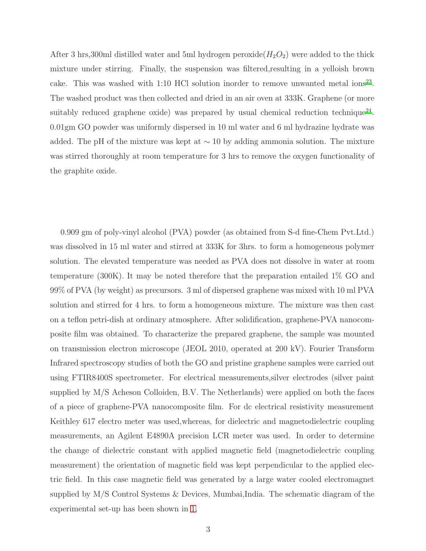After 3 hrs,300ml distilled water and 5ml hydrogen peroxide( $H_2O_2$ ) were added to the thick mixture under stirring. Finally, the suspension was filtered,resulting in a yelloish brown cake. This was washed with 1:10 HCl solution inorder to remove unwanted metal ions<sup>[23](#page-12-1)</sup>. The washed product was then collected and dried in an air oven at 333K. Graphene (or more suitably reduced graphene oxide) was prepared by usual chemical reduction technique<sup>[24](#page-12-2)</sup>. 0.01gm GO powder was uniformly dispersed in 10 ml water and 6 ml hydrazine hydrate was added. The pH of the mixture was kept at  $\sim$  10 by adding ammonia solution. The mixture was stirred thoroughly at room temperature for 3 hrs to remove the oxygen functionality of the graphite oxide.

0.909 gm of poly-vinyl alcohol (PVA) powder (as obtained from S-d fine-Chem Pvt.Ltd.) was dissolved in 15 ml water and stirred at 333K for 3hrs. to form a homogeneous polymer solution. The elevated temperature was needed as PVA does not dissolve in water at room temperature (300K). It may be noted therefore that the preparation entailed 1% GO and 99% of PVA (by weight) as precursors. 3 ml of dispersed graphene was mixed with 10 ml PVA solution and stirred for 4 hrs. to form a homogeneous mixture. The mixture was then cast on a teflon petri-dish at ordinary atmosphere. After solidification, graphene-PVA nanocomposite film was obtained. To characterize the prepared graphene, the sample was mounted on transmission electron microscope (JEOL 2010, operated at 200 kV). Fourier Transform Infrared spectroscopy studies of both the GO and pristine graphene samples were carried out using FTIR8400S spectrometer. For electrical measurements,silver electrodes (silver paint supplied by M/S Acheson Colloiden, B.V. The Netherlands) were applied on both the faces of a piece of graphene-PVA nanocomposite film. For dc electrical resistivity measurement Keithley 617 electro meter was used,whereas, for dielectric and magnetodielectric coupling measurements, an Agilent E4890A precision LCR meter was used. In order to determine the change of dielectric constant with applied magnetic field (magnetodielectric coupling measurement) the orientation of magnetic field was kept perpendicular to the applied electric field. In this case magnetic field was generated by a large water cooled electromagnet supplied by M/S Control Systems & Devices, Mumbai,India. The schematic diagram of the experimental set-up has been shown in [1.](#page-3-0)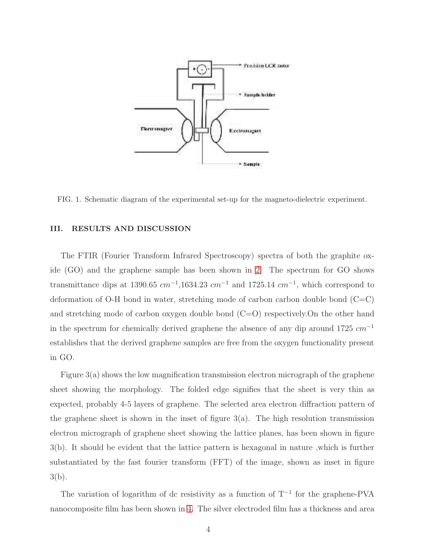

<span id="page-3-0"></span>FIG. 1. Schematic diagram of the experimental set-up for the magneto-dielectric experiment.

## III. RESULTS AND DISCUSSION

The FTIR (Fourier Transform Infrared Spectroscopy) spectra of both the graphite oxide (GO) and the graphene sample has been shown in [2.](#page-4-0) The spectrum for GO shows transmittance dips at 1390.65  $cm^{-1}$ ,1634.23  $cm^{-1}$  and 1725.14  $cm^{-1}$ , which correspond to deformation of  $O-H$  bond in water, stretching mode of carbon carbon double bond  $(C=C)$ and stretching mode of carbon oxygen double bond  $(C=O)$  respectively. On the other hand in the spectrum for chemically derived graphene the absence of any dip around 1725  $cm^{-1}$ establishes that the derived graphene samples are free from the oxygen functionality present in GO.

Figure 3(a) shows the low magnification transmission electron micrograph of the graphene sheet showing the morphology. The folded edge signifies that the sheet is very thin as expected, probably 4-5 layers of graphene. The selected area electron diffraction pattern of the graphene sheet is shown in the inset of figure  $3(a)$ . The high resolution transmission electron micrograph of graphene sheet showing the lattice planes, has been shown in figure 3(b). It should be evident that the lattice pattern is hexagonal in nature ,which is further substantiated by the fast fourier transform (FFT) of the image, shown as inset in figure 3(b).

The variation of logarithm of dc resistivity as a function of  $T^{-1}$  for the graphene-PVA nanocomposite film has been shown in [4.](#page-5-0) The silver electroded film has a thickness and area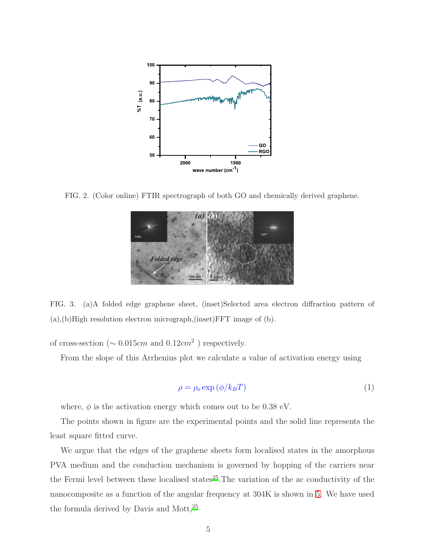

<span id="page-4-0"></span>FIG. 2. (Color online) FTIR spectrograph of both GO and chemically derived graphene.



FIG. 3. (a)A folded edge graphene sheet, (inset)Selected area electron diffraction pattern of (a),(b)High resolution electron micrograph,(inset)FFT image of (b).

of cross-section ( $\sim 0.015$ *cm* and  $0.12$ *cm*<sup>2</sup>) respectively.

From the slope of this Arrhenius plot we calculate a value of activation energy using

$$
\rho = \rho_o \exp\left(\phi / k_B T\right) \tag{1}
$$

where,  $\phi$  is the activation energy which comes out to be 0.38 eV.

The points shown in figure are the experimental points and the solid line represents the least square fitted curve.

We argue that the edges of the graphene sheets form localised states in the amorphous PVA medium and the conduction mechanism is governed by hopping of the carriers near the Fermi level between these localised states $^{25}$  $^{25}$  $^{25}$ . The variation of the ac conductivity of the nanocomposite as a function of the angular frequency at 304K is shown in [5.](#page-6-0) We have used the formula derived by Davis and Mott, $^{25}$  $^{25}$  $^{25}$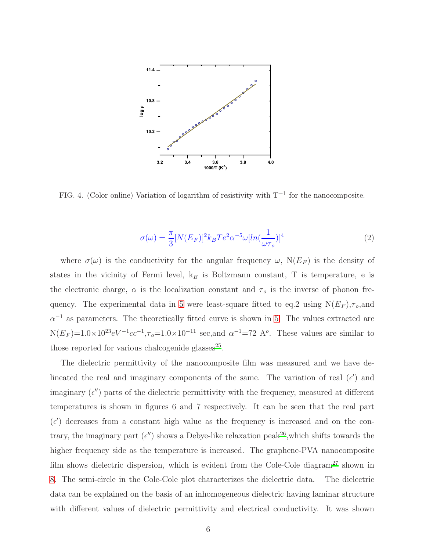

<span id="page-5-0"></span>FIG. 4. (Color online) Variation of logarithm of resistivity with  $T^{-1}$  for the nanocomposite.

$$
\sigma(\omega) = \frac{\pi}{3} [N(E_F)]^2 k_B T e^2 \alpha^{-5} \omega [ln(\frac{1}{\omega \tau_o})]^4
$$
\n(2)

where  $\sigma(\omega)$  is the conductivity for the angular frequency  $\omega$ ,  $N(E_F)$  is the density of states in the vicinity of Fermi level,  $k_B$  is Boltzmann constant, T is temperature, e is the electronic charge,  $\alpha$  is the localization constant and  $\tau_o$  is the inverse of phonon fre-quency. The experimental data in [5](#page-6-0) were least-square fitted to eq.2 using  $N(E_F)$ ,  $\tau_o$ , and  $\alpha^{-1}$  as parameters. The theoretically fitted curve is shown in [5.](#page-6-0) The values extracted are  $N(E_F)=1.0\times10^{23}eV^{-1}cc^{-1}$ , $\tau_o=1.0\times10^{-11}$  sec, and  $\alpha^{-1}=72$  A<sup>o</sup>. These values are similar to those reported for various chalcogenide glasses<sup>[25](#page-12-3)</sup>.

The dielectric permittivity of the nanocomposite film was measured and we have delineated the real and imaginary components of the same. The variation of real  $(\epsilon')$  and imaginary  $(\epsilon'')$  parts of the dielectric permittivity with the frequency, measured at different temperatures is shown in figures 6 and 7 respectively. It can be seen that the real part  $(\epsilon')$  decreases from a constant high value as the frequency is increased and on the contrary, the imaginary part  $(\epsilon'')$  shows a Debye-like relaxation peak<sup>[26](#page-12-4)</sup>, which shifts towards the higher frequency side as the temperature is increased. The graphene-PVA nanocomposite film shows dielectric dispersion, which is evident from the Cole-Cole diagram<sup>[27](#page-12-5)</sup> shown in [8.](#page-7-0) The semi-circle in the Cole-Cole plot characterizes the dielectric data. The dielectric data can be explained on the basis of an inhomogeneous dielectric having laminar structure with different values of dielectric permittivity and electrical conductivity. It was shown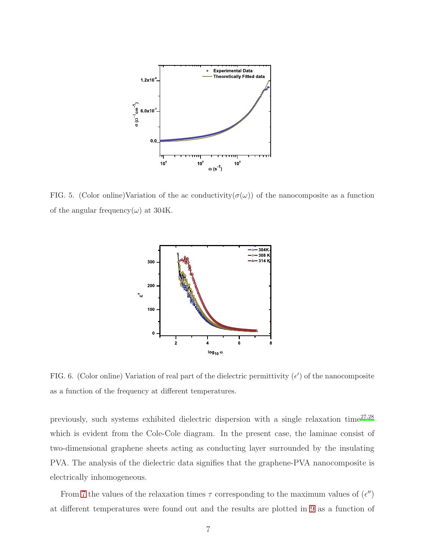

<span id="page-6-0"></span>FIG. 5. (Color online)Variation of the ac conductivity( $\sigma(\omega)$ ) of the nanocomposite as a function of the angular frequency( $\omega$ ) at 304K.



FIG. 6. (Color online) Variation of real part of the dielectric permittivity  $(\epsilon')$  of the nanocomposite as a function of the frequency at different temperatures.

previously, such systems exhibited dielectric dispersion with a single relaxation time $^{27,28}$  $^{27,28}$  $^{27,28}$  $^{27,28}$ which is evident from the Cole-Cole diagram. In the present case, the laminae consist of two-dimensional graphene sheets acting as conducting layer surrounded by the insulating PVA. The analysis of the dielectric data signifies that the graphene-PVA nanocomposite is electrically inhomogeneous.

From [7](#page-7-1) the values of the relaxation times  $\tau$  corresponding to the maximum values of  $(\epsilon'')$ at different temperatures were found out and the results are plotted in [9](#page-8-0) as a function of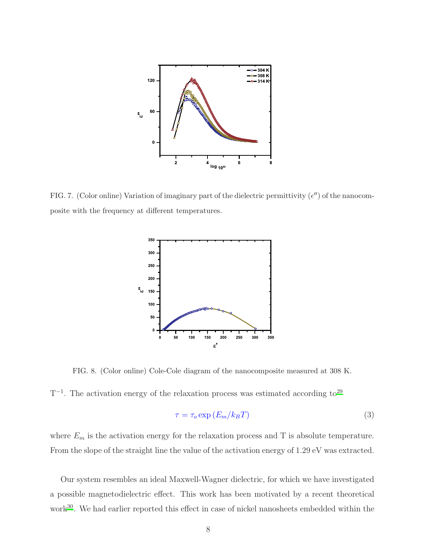

<span id="page-7-1"></span>FIG. 7. (Color online) Variation of imaginary part of the dielectric permittivity  $(\epsilon'')$  of the nanocomposite with the frequency at different temperatures.



<span id="page-7-0"></span>FIG. 8. (Color online) Cole-Cole diagram of the nanocomposite measured at 308 K.

 $T^{-1}$ . The activation energy of the relaxation process was estimated according to<sup>[29](#page-12-7)</sup>

$$
\tau = \tau_o \exp\left(E_m / k_B T\right) \tag{3}
$$

where  $E_m$  is the activation energy for the relaxation process and T is absolute temperature. From the slope of the straight line the value of the activation energy of 1.29 eV was extracted.

Our system resembles an ideal Maxwell-Wagner dielectric, for which we have investigated a possible magnetodielectric effect. This work has been motivated by a recent theoretical work<sup>[30](#page-12-8)</sup>. We had earlier reported this effect in case of nickel nanosheets embedded within the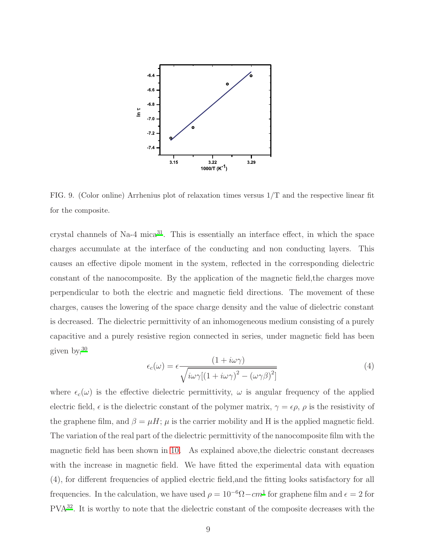

<span id="page-8-0"></span>FIG. 9. (Color online) Arrhenius plot of relaxation times versus 1/T and the respective linear fit for the composite.

crystal channels of Na-4 mica $31$ . This is essentially an interface effect, in which the space charges accumulate at the interface of the conducting and non conducting layers. This causes an effective dipole moment in the system, reflected in the corresponding dielectric constant of the nanocomposite. By the application of the magnetic field,the charges move perpendicular to both the electric and magnetic field directions. The movement of these charges, causes the lowering of the space charge density and the value of dielectric constant is decreased. The dielectric permittivity of an inhomogeneous medium consisting of a purely capacitive and a purely resistive region connected in series, under magnetic field has been given by,  $30$ 

$$
\epsilon_c(\omega) = \epsilon \frac{(1 + i\omega\gamma)}{\sqrt{i\omega\gamma[(1 + i\omega\gamma)^2 - (\omega\gamma\beta)^2]}}
$$
(4)

where  $\epsilon_c(\omega)$  is the effective dielectric permittivity,  $\omega$  is angular frequency of the applied electric field,  $\epsilon$  is the dielectric constant of the polymer matrix,  $\gamma = \epsilon \rho$ ,  $\rho$  is the resistivity of the graphene film, and  $\beta = \mu H$ ;  $\mu$  is the carrier mobility and H is the applied magnetic field. The variation of the real part of the dielectric permittivity of the nanocomposite film with the magnetic field has been shown in [10.](#page-9-0) As explained above,the dielectric constant decreases with the increase in magnetic field. We have fitted the experimental data with equation (4), for different frequencies of applied electric field,and the fitting looks satisfactory for all frequencies. In the calculation, we have used  $\rho = 10^{-6} \Omega - cm^1$  $\rho = 10^{-6} \Omega - cm^1$  $\rho = 10^{-6} \Omega - cm^1$  for graphene film and  $\epsilon = 2$  for PVA[32](#page-12-10). It is worthy to note that the dielectric constant of the composite decreases with the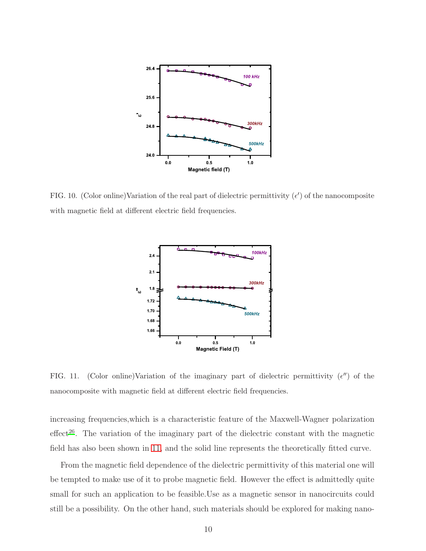

<span id="page-9-0"></span>FIG. 10. (Color online)Variation of the real part of dielectric permittivity  $(\epsilon')$  of the nanocomposite with magnetic field at different electric field frequencies.



<span id="page-9-1"></span>FIG. 11. (Color online)Variation of the imaginary part of dielectric permittivity  $(\epsilon'')$  of the nanocomposite with magnetic field at different electric field frequencies.

increasing frequencies,which is a characteristic feature of the Maxwell-Wagner polarization  $effect^{26}$  $effect^{26}$  $effect^{26}$ . The variation of the imaginary part of the dielectric constant with the magnetic field has also been shown in [11,](#page-9-1) and the solid line represents the theoretically fitted curve.

From the magnetic field dependence of the dielectric permittivity of this material one will be tempted to make use of it to probe magnetic field. However the effect is admittedly quite small for such an application to be feasible.Use as a magnetic sensor in nanocircuits could still be a possibility. On the other hand, such materials should be explored for making nano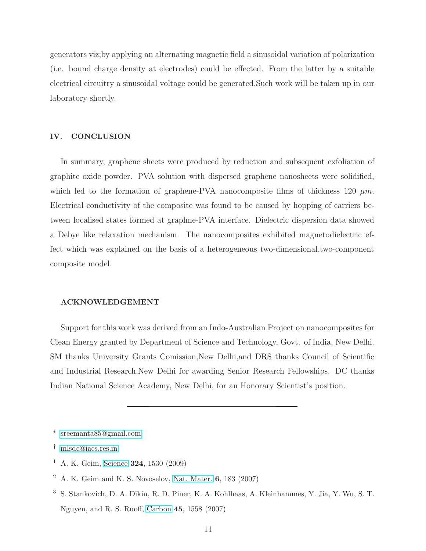generators viz;by applying an alternating magnetic field a sinusoidal variation of polarization (i.e. bound charge density at electrodes) could be effected. From the latter by a suitable electrical circuitry a sinusoidal voltage could be generated.Such work will be taken up in our laboratory shortly.

# IV. CONCLUSION

In summary, graphene sheets were produced by reduction and subsequent exfoliation of graphite oxide powder. PVA solution with dispersed graphene nanosheets were solidified, which led to the formation of graphene-PVA nanocomposite films of thickness 120  $\mu$ m. Electrical conductivity of the composite was found to be caused by hopping of carriers between localised states formed at graphne-PVA interface. Dielectric dispersion data showed a Debye like relaxation mechanism. The nanocomposites exhibited magnetodielectric effect which was explained on the basis of a heterogeneous two-dimensional,two-component composite model.

# ACKNOWLEDGEMENT

Support for this work was derived from an Indo-Australian Project on nanocomposites for Clean Energy granted by Department of Science and Technology, Govt. of India, New Delhi. SM thanks University Grants Comission,New Delhi,and DRS thanks Council of Scientific and Industrial Research,New Delhi for awarding Senior Research Fellowships. DC thanks Indian National Science Academy, New Delhi, for an Honorary Scientist's position.

- <span id="page-10-2"></span><sup>1</sup> A. K. Geim, [Science](http://dx.doi.org/10.1126/science.1158877) **324**, 1530 (2009)
- <span id="page-10-3"></span><sup>2</sup> A. K. Geim and K. S. Novoselov, [Nat. Mater.](http://dx.doi.org/10.1038/nmat1849) 6, 183 (2007)
- <span id="page-10-4"></span><sup>3</sup> S. Stankovich, D. A. Dikin, R. D. Piner, K. A. Kohlhaas, A. Kleinhammes, Y. Jia, Y. Wu, S. T. Nguyen, and R. S. Ruoff, [Carbon](http://dx.doi.org/10.1016/j.carbon.2007.02.034) 45, 1558 (2007)

<span id="page-10-0"></span><sup>∗</sup> [sreemanta85@gmail.com](mailto:sreemanta85@gmail.com)

<span id="page-10-1"></span><sup>†</sup> [mlsdc@iacs.res.in](mailto:mlsdc@iacs.res.in)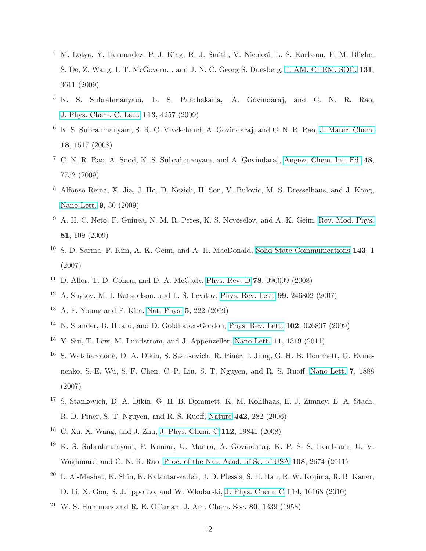- <sup>4</sup> M. Lotya, Y. Hernandez, P. J. King, R. J. Smith, V. Nicolosi, L. S. Karlsson, F. M. Blighe, S. De, Z. Wang, I. T. McGovern, , and J. N. C. Georg S. Duesberg, [J. AM. CHEM. SOC.](http://dx.doi.org/10.1021/ja807449u) 131, 3611 (2009)
- <sup>5</sup> K. S. Subrahmanyam, L. S. Panchakarla, A. Govindaraj, and C. N. R. Rao, [J. Phys. Chem. C. Lett.](http://dx.doi.org/10.1021/jp900791y) 113, 4257 (2009)
- <sup>6</sup> K. S. Subrahmanyam, S. R. C. Vivekchand, A. Govindaraj, and C. N. R. Rao, [J. Mater. Chem.](http://dx.doi.org/10.1039/b716536f) 18, 1517 (2008)
- <sup>7</sup> C. N. R. Rao, A. Sood, K. S. Subrahmanyam, and A. Govindaraj, [Angew. Chem. Int. Ed.](http://dx.doi.org/10.1002/anie.200901678) 48, 7752 (2009)
- <span id="page-11-0"></span><sup>8</sup> Alfonso Reina, X. Jia, J. Ho, D. Nezich, H. Son, V. Bulovic, M. S. Dresselhaus, and J. Kong, [Nano Lett.](http://dx.doi.org/10.1021/nl801827v) 9, 30 (2009)
- <span id="page-11-1"></span><sup>9</sup> A. H. C. Neto, F. Guinea, N. M. R. Peres, K. S. Novoselov, and A. K. Geim, [Rev. Mod. Phys.](http://dx.doi.org/10.1103/RevModPhys.81.109) 81, 109 (2009)
- <sup>10</sup> S. D. Sarma, P. Kim, A. K. Geim, and A. H. MacDonald, [Solid State Communications](http://dx.doi.org/10.1016/j.ssc.2007.04.030) 143, 1 (2007)
- <sup>11</sup> D. Allor, T. D. Cohen, and D. A. McGady, [Phys. Rev. D](http://dx.doi.org/10.1103/PhysRevD.78.096009) 78, 096009 (2008)
- $12$  A. Shytov, M. I. Katsnelson, and L. S. Levitov, [Phys. Rev. Lett.](http://dx.doi.org/10.1103/PhysRevLett.99.246802) **99**, 246802 (2007)
- <sup>13</sup> A. F. Young and P. Kim, [Nat. Phys.](http://dx.doi.org/10.1038/NPHYS1198) 5, 222 (2009)
- <sup>14</sup> N. Stander, B. Huard, and D. Goldhaber-Gordon, [Phys. Rev. Lett.](http://dx.doi.org/10.1103/PhysRevLett.102.026807) 102, 026807 (2009)
- <span id="page-11-2"></span> $15$  Y. Sui, T. Low, M. Lundstrom, and J. Appenzeller, [Nano Lett.](http://dx.doi.org/10.1021/nl104399z) 11, 1319 (2011)
- <span id="page-11-3"></span><sup>16</sup> S. Watcharotone, D. A. Dikin, S. Stankovich, R. Piner, I. Jung, G. H. B. Dommett, G. Evmenenko, S.-E. Wu, S.-F. Chen, C.-P. Liu, S. T. Nguyen, and R. S. Ruoff, [Nano Lett.](http://dx.doi.org/10.1021/nl070477) 7, 1888 (2007)
- <span id="page-11-4"></span><sup>17</sup> S. Stankovich, D. A. Dikin, G. H. B. Dommett, K. M. Kohlhaas, E. J. Zimney, E. A. Stach, R. D. Piner, S. T. Nguyen, and R. S. Ruoff, [Nature](http://dx.doi.org/10.1038/nature04969) 442, 282 (2006)
- <span id="page-11-5"></span><sup>18</sup> C. Xu, X. Wang, and J. Zhu, [J. Phys. Chem. C](http://dx.doi.org/10.1021/jp807989b) 112, 19841 (2008)
- <span id="page-11-6"></span><sup>19</sup> K. S. Subrahmanyam, P. Kumar, U. Maitra, A. Govindaraj, K. P. S. S. Hembram, U. V. Waghmare, and C. N. R. Rao, [Proc. of the Nat. Acad. of Sc. of USA](http://dx.doi.org/10.1073/pnas.1019542108) 108, 2674 (2011)
- <span id="page-11-7"></span><sup>20</sup> L. Al-Mashat, K. Shin, K. Kalantar-zadeh, J. D. Plessis, S. H. Han, R. W. Kojima, R. B. Kaner, D. Li, X. Gou, S. J. Ippolito, and W. Wlodarski, [J. Phys. Chem.](http://dx.doi.org/10.1021/jp103134u) C 114, 16168 (2010)
- <span id="page-11-8"></span><sup>21</sup> W. S. Hummers and R. E. Offeman, J. Am. Chem. Soc. **80**, 1339 (1958)